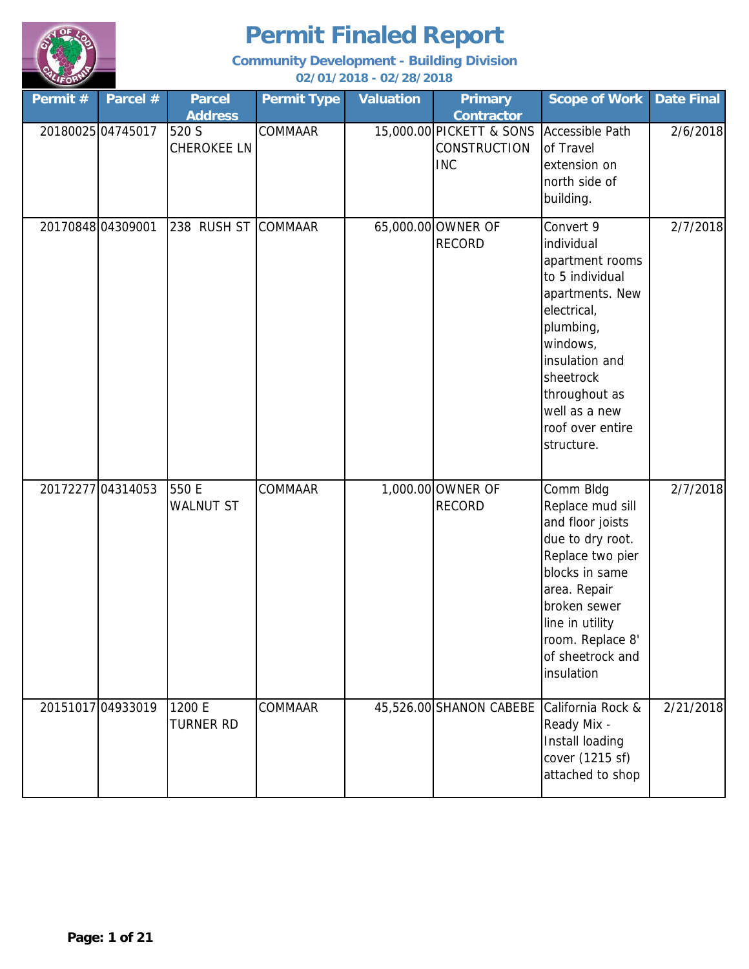

| Permit#           | Parcel #          | <b>Parcel</b><br><b>Address</b> | <b>Permit Type</b> | <b>Valuation</b> | <b>Primary</b><br><b>Contractor</b>                           | <b>Scope of Work</b>                                                                                                                                                                                                        | <b>Date Final</b> |
|-------------------|-------------------|---------------------------------|--------------------|------------------|---------------------------------------------------------------|-----------------------------------------------------------------------------------------------------------------------------------------------------------------------------------------------------------------------------|-------------------|
|                   | 20180025 04745017 | 520 S<br>CHEROKEE LN            | COMMAAR            |                  | 15,000.00 PICKETT & SONS<br><b>CONSTRUCTION</b><br><b>INC</b> | <b>Accessible Path</b><br>of Travel<br>extension on<br>north side of<br>building.                                                                                                                                           | 2/6/2018          |
| 20170848 04309001 |                   | 238 RUSH ST COMMAAR             |                    |                  | 65,000.00 OWNER OF<br><b>RECORD</b>                           | Convert 9<br>individual<br>apartment rooms<br>to 5 individual<br>apartments. New<br>electrical,<br>plumbing,<br>windows,<br>insulation and<br>sheetrock<br>throughout as<br>well as a new<br>roof over entire<br>structure. | 2/7/2018          |
|                   | 2017227704314053  | 550 E<br><b>WALNUT ST</b>       | COMMAAR            |                  | 1,000.00 OWNER OF<br><b>RECORD</b>                            | Comm Bldg<br>Replace mud sill<br>and floor joists<br>due to dry root.<br>Replace two pier<br>blocks in same<br>area. Repair<br>broken sewer<br>line in utility<br>room. Replace 8'<br>of sheetrock and<br>insulation        | 2/7/2018          |
|                   | 20151017 04933019 | 1200 E<br><b>TURNER RD</b>      | <b>COMMAAR</b>     |                  | 45,526.00 SHANON CABEBE California Rock &                     | Ready Mix -<br>Install loading<br>cover (1215 sf)<br>attached to shop                                                                                                                                                       | 2/21/2018         |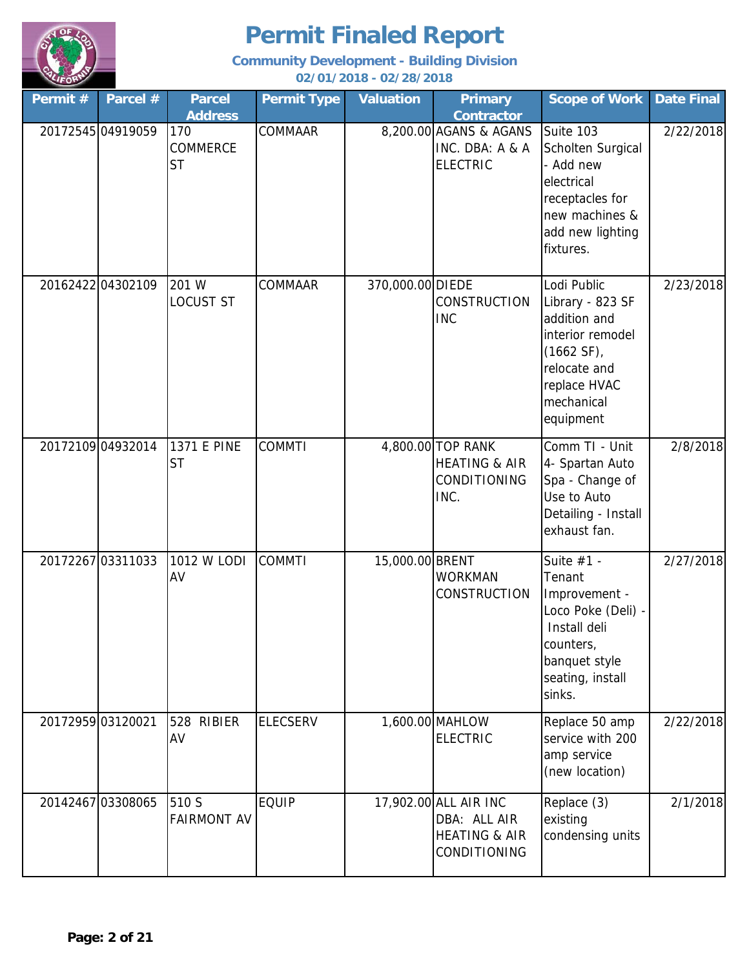

| Permit # | Parcel #          | <b>Parcel</b><br><b>Address</b> | <b>Permit Type</b> | <b>Valuation</b> | <b>Primary</b><br><b>Contractor</b>                                               | <b>Scope of Work</b>                                                                                                                            | <b>Date Final</b> |
|----------|-------------------|---------------------------------|--------------------|------------------|-----------------------------------------------------------------------------------|-------------------------------------------------------------------------------------------------------------------------------------------------|-------------------|
|          | 20172545 04919059 | 170<br>COMMERCE<br><b>ST</b>    | <b>COMMAAR</b>     |                  | 8,200.00 AGANS & AGANS<br>INC. DBA: A & A<br><b>ELECTRIC</b>                      | Suite 103<br>Scholten Surgical<br>- Add new<br>electrical<br>receptacles for<br>new machines &<br>add new lighting<br>fixtures.                 | 2/22/2018         |
|          | 2016242204302109  | 201 W<br>LOCUST ST              | COMMAAR            | 370,000.00 DIEDE | <b>CONSTRUCTION</b><br><b>INC</b>                                                 | Lodi Public<br>Library - 823 SF<br>addition and<br>interior remodel<br>$(1662 SF)$ ,<br>relocate and<br>replace HVAC<br>mechanical<br>equipment | 2/23/2018         |
|          | 20172109 04932014 | <b>1371 E PINE</b><br><b>ST</b> | <b>COMMTI</b>      |                  | 4,800.00 TOP RANK<br><b>HEATING &amp; AIR</b><br>CONDITIONING<br>INC.             | Comm TI - Unit<br>4- Spartan Auto<br>Spa - Change of<br>Use to Auto<br>Detailing - Install<br>exhaust fan.                                      | 2/8/2018          |
|          | 20172267 03311033 | 1012 W LODI<br>AV               | <b>COMMTI</b>      | 15,000.00 BRENT  | <b>WORKMAN</b><br><b>CONSTRUCTION</b>                                             | Suite $#1 -$<br>Tenant<br>Improvement -<br>Loco Poke (Deli) -<br>Install deli<br>counters,<br>banquet style<br>seating, install<br>sinks.       | 2/27/2018         |
|          | 20172959 03120021 | 528<br><b>RIBIER</b><br>AV      | <b>ELECSERV</b>    |                  | 1,600.00 MAHLOW<br><b>ELECTRIC</b>                                                | Replace 50 amp<br>service with 200<br>amp service<br>(new location)                                                                             | 2/22/2018         |
|          | 20142467 03308065 | 510 S<br><b>FAIRMONT AV</b>     | <b>EQUIP</b>       |                  | 17,902.00 ALL AIR INC<br>DBA: ALL AIR<br><b>HEATING &amp; AIR</b><br>CONDITIONING | Replace (3)<br>existing<br>condensing units                                                                                                     | 2/1/2018          |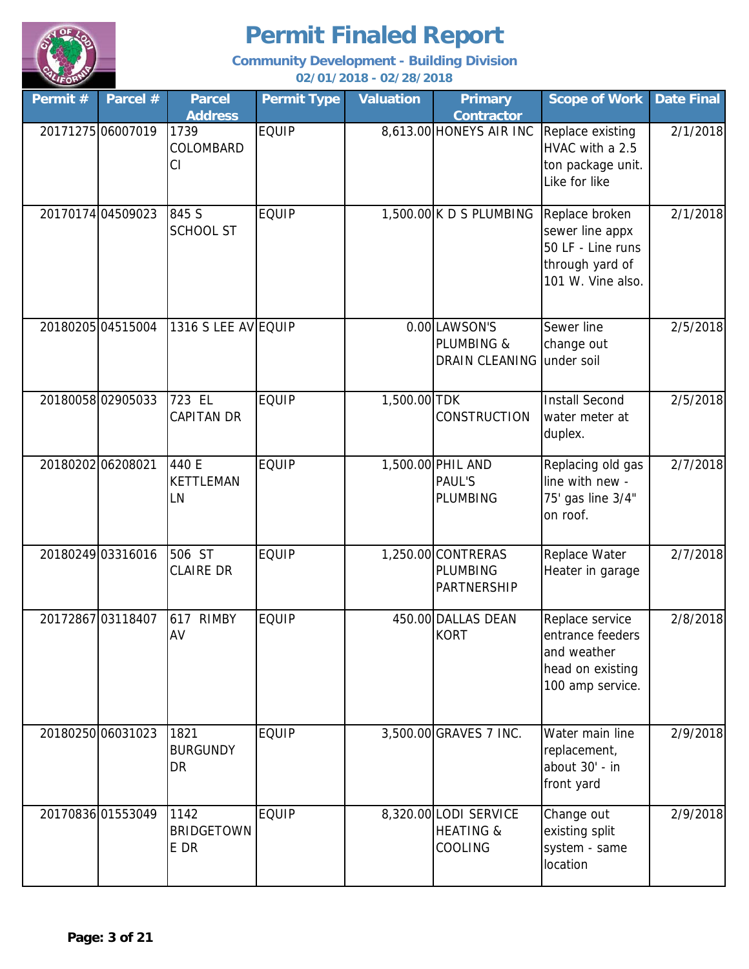

**Community Development - Building Division**

**02/01/2018 - 02/28/2018**

| Permit # | Parcel #          | <b>Parcel</b><br><b>Address</b>   | <b>Permit Type</b> | <b>Valuation</b> | <b>Primary</b><br><b>Contractor</b>                      | <b>Scope of Work</b>                                                                           | <b>Date Final</b> |
|----------|-------------------|-----------------------------------|--------------------|------------------|----------------------------------------------------------|------------------------------------------------------------------------------------------------|-------------------|
|          | 20171275 06007019 | 1739<br>COLOMBARD<br>CI           | <b>EQUIP</b>       |                  | 8,613.00 HONEYS AIR INC                                  | Replace existing<br>HVAC with a 2.5<br>ton package unit.<br>Like for like                      | 2/1/2018          |
|          | 20170174 04509023 | 845 S<br><b>SCHOOL ST</b>         | <b>EQUIP</b>       |                  | $1,500.00$ K D S PLUMBING                                | Replace broken<br>sewer line appx<br>50 LF - Line runs<br>through yard of<br>101 W. Vine also. | 2/1/2018          |
|          | 20180205 04515004 | 1316 S LEE AV EQUIP               |                    |                  | 0.00 LAWSON'S<br>PLUMBING &<br>DRAIN CLEANING            | Sewer line<br>change out<br>under soil                                                         | 2/5/2018          |
|          | 2018005802905033  | 723 EL<br><b>CAPITAN DR</b>       | <b>EQUIP</b>       | 1,500.00 TDK     | CONSTRUCTION                                             | <b>Install Second</b><br>water meter at<br>duplex.                                             | 2/5/2018          |
|          | 2018020206208021  | 440 E<br>KETTLEMAN<br>LN          | <b>EQUIP</b>       |                  | 1,500.00 PHIL AND<br><b>PAUL'S</b><br><b>PLUMBING</b>    | Replacing old gas<br>line with new -<br>75' gas line 3/4"<br>on roof.                          | 2/7/2018          |
|          | 20180249 03316016 | 506 ST<br><b>CLAIRE DR</b>        | <b>EQUIP</b>       |                  | 1,250.00 CONTRERAS<br><b>PLUMBING</b><br>PARTNERSHIP     | Replace Water<br>Heater in garage                                                              | 2/7/2018          |
|          | 20172867 03118407 | 617 RIMBY<br>AV                   | <b>EQUIP</b>       |                  | 450.00 DALLAS DEAN<br><b>KORT</b>                        | Replace service<br>entrance feeders<br>and weather<br>head on existing<br>100 amp service.     | 2/8/2018          |
|          | 20180250 06031023 | 1821<br><b>BURGUNDY</b><br>DR     | <b>EQUIP</b>       |                  | 3,500.00 GRAVES 7 INC.                                   | Water main line<br>replacement,<br>about 30' - in<br>front yard                                | 2/9/2018          |
|          | 20170836 01553049 | 1142<br><b>BRIDGETOWN</b><br>E DR | <b>EQUIP</b>       |                  | 8,320.00 LODI SERVICE<br><b>HEATING &amp;</b><br>COOLING | Change out<br>existing split<br>system - same<br>location                                      | 2/9/2018          |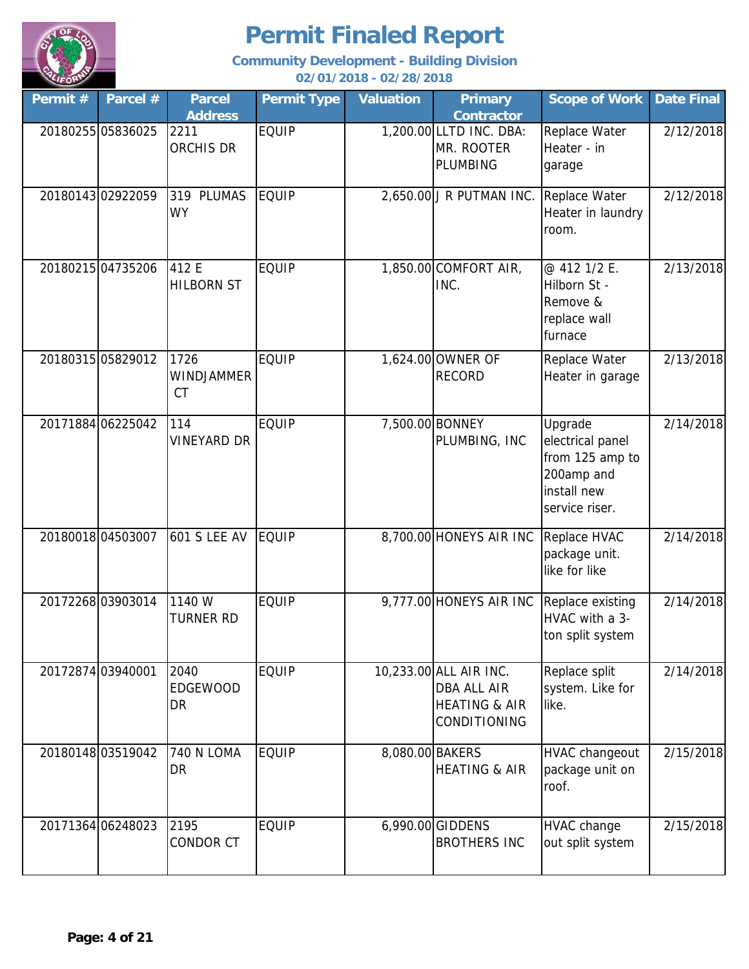

| Permit # | Parcel #          | <b>Parcel</b><br><b>Address</b>        | <b>Permit Type</b> | <b>Valuation</b> | <b>Primary</b><br><b>Contractor</b>                                               | <b>Scope of Work</b>                                                                          | <b>Date Final</b> |
|----------|-------------------|----------------------------------------|--------------------|------------------|-----------------------------------------------------------------------------------|-----------------------------------------------------------------------------------------------|-------------------|
|          | 20180255 05836025 | 2211<br>ORCHIS DR                      | <b>EQUIP</b>       |                  | 1,200.00 LLTD INC. DBA:<br>MR. ROOTER<br><b>PLUMBING</b>                          | Replace Water<br>Heater - in<br>garage                                                        | 2/12/2018         |
|          | 2018014302922059  | 319 PLUMAS<br><b>WY</b>                | <b>EQUIP</b>       |                  | 2,650.00 J R PUTMAN INC.                                                          | Replace Water<br>Heater in laundry<br>room.                                                   | 2/12/2018         |
|          | 20180215 04735206 | 412 E<br><b>HILBORN ST</b>             | <b>EQUIP</b>       |                  | 1,850.00 COMFORT AIR,<br>INC.                                                     | @ 412 1/2 E.<br>Hilborn St -<br>Remove &<br>replace wall<br>furnace                           | 2/13/2018         |
|          | 20180315 05829012 | 1726<br><b>WINDJAMMER</b><br><b>CT</b> | <b>EQUIP</b>       |                  | 1,624.00 OWNER OF<br><b>RECORD</b>                                                | Replace Water<br>Heater in garage                                                             | 2/13/2018         |
|          | 20171884 06225042 | 114<br>VINEYARD DR                     | <b>EQUIP</b>       |                  | 7,500.00 BONNEY<br>PLUMBING, INC                                                  | Upgrade<br>electrical panel<br>from 125 amp to<br>200amp and<br>install new<br>service riser. | 2/14/2018         |
|          | 2018001804503007  | <b>601 S LEE AV</b>                    | <b>EQUIP</b>       |                  | 8,700.00 HONEYS AIR INC                                                           | Replace HVAC<br>package unit.<br>like for like                                                | 2/14/2018         |
|          | 2017226803903014  | 1140 W<br>TURNER RD                    | <b>EQUIP</b>       |                  | 9,777.00 HONEYS AIR INC                                                           | Replace existing<br>HVAC with a 3-<br>ton split system                                        | 2/14/2018         |
|          | 2017287403940001  | 2040<br><b>EDGEWOOD</b><br>DR          | <b>EQUIP</b>       |                  | 10,233.00 ALL AIR INC.<br>DBA ALL AIR<br><b>HEATING &amp; AIR</b><br>CONDITIONING | Replace split<br>system. Like for<br>like.                                                    | 2/14/2018         |
|          | 2018014803519042  | <b>740 N LOMA</b><br>DR                | <b>EQUIP</b>       | 8,080.00 BAKERS  | <b>HEATING &amp; AIR</b>                                                          | HVAC changeout<br>package unit on<br>roof.                                                    | 2/15/2018         |
|          | 20171364 06248023 | 2195<br>CONDOR CT                      | <b>EQUIP</b>       |                  | 6,990.00 GIDDENS<br><b>BROTHERS INC</b>                                           | HVAC change<br>out split system                                                               | 2/15/2018         |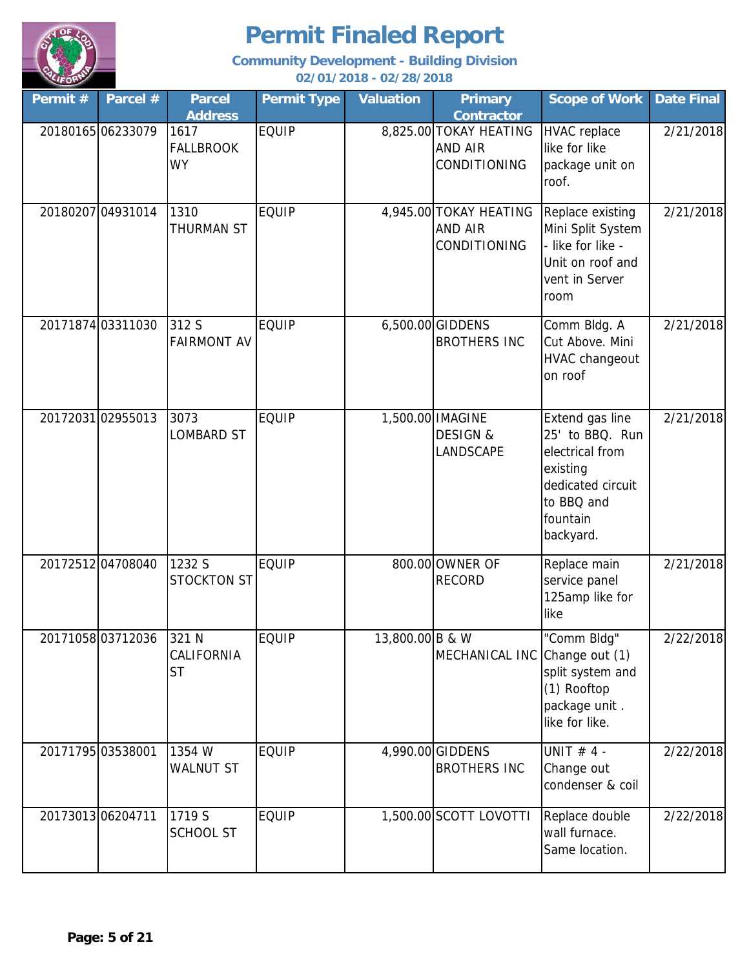

| Permit $#$ | Parcel #          | <b>Parcel</b><br><b>Address</b>         | <b>Permit Type</b> | <b>Valuation</b> | <b>Primary</b><br><b>Contractor</b>                  | <b>Scope of Work</b>                                                                                                          | <b>Date Final</b> |
|------------|-------------------|-----------------------------------------|--------------------|------------------|------------------------------------------------------|-------------------------------------------------------------------------------------------------------------------------------|-------------------|
|            | 2018016506233079  | 1617<br><b>FALLBROOK</b><br><b>WY</b>   | <b>EQUIP</b>       |                  | 8,825.00 TOKAY HEATING<br>AND AIR<br>CONDITIONING    | <b>HVAC</b> replace<br>like for like<br>package unit on<br>roof.                                                              | 2/21/2018         |
|            | 20180207 04931014 | 1310<br><b>THURMAN ST</b>               | <b>EQUIP</b>       |                  | 4,945.00 TOKAY HEATING<br>AND AIR<br>CONDITIONING    | Replace existing<br>Mini Split System<br>- like for like -<br>Unit on roof and<br>vent in Server<br>room                      | 2/21/2018         |
|            | 20171874 03311030 | 312 S<br><b>FAIRMONT AV</b>             | <b>EQUIP</b>       |                  | 6,500.00 GIDDENS<br><b>BROTHERS INC</b>              | Comm Bldg. A<br>Cut Above. Mini<br><b>HVAC changeout</b><br>on roof                                                           | 2/21/2018         |
|            | 20172031 02955013 | 3073<br>LOMBARD ST                      | <b>EQUIP</b>       |                  | 1,500.00 IMAGINE<br><b>DESIGN &amp;</b><br>LANDSCAPE | Extend gas line<br>25' to BBQ. Run<br>electrical from<br>existing<br>dedicated circuit<br>to BBQ and<br>fountain<br>backyard. | 2/21/2018         |
|            | 20172512 04708040 | 1232 S<br><b>STOCKTON ST</b>            | <b>EQUIP</b>       |                  | 800.00 OWNER OF<br><b>RECORD</b>                     | Replace main<br>service panel<br>125amp like for<br>like                                                                      | 2/21/2018         |
|            | 20171058 03712036 | 321 N<br><b>CALIFORNIA</b><br><b>ST</b> | EQUIP              | 13,800.00 B & W  | MECHANICAL INC Change out (1)                        | "Comm Bldg"<br>split system and<br>(1) Rooftop<br>package unit.<br>like for like.                                             | 2/22/2018         |
|            | 20171795 03538001 | 1354 W<br><b>WALNUT ST</b>              | <b>EQUIP</b>       |                  | 4,990.00 GIDDENS<br><b>BROTHERS INC</b>              | UNIT $# 4 -$<br>Change out<br>condenser & coil                                                                                | 2/22/2018         |
|            | 20173013 06204711 | 1719 S<br><b>SCHOOL ST</b>              | <b>EQUIP</b>       |                  | 1,500.00 SCOTT LOVOTTI                               | Replace double<br>wall furnace.<br>Same location.                                                                             | 2/22/2018         |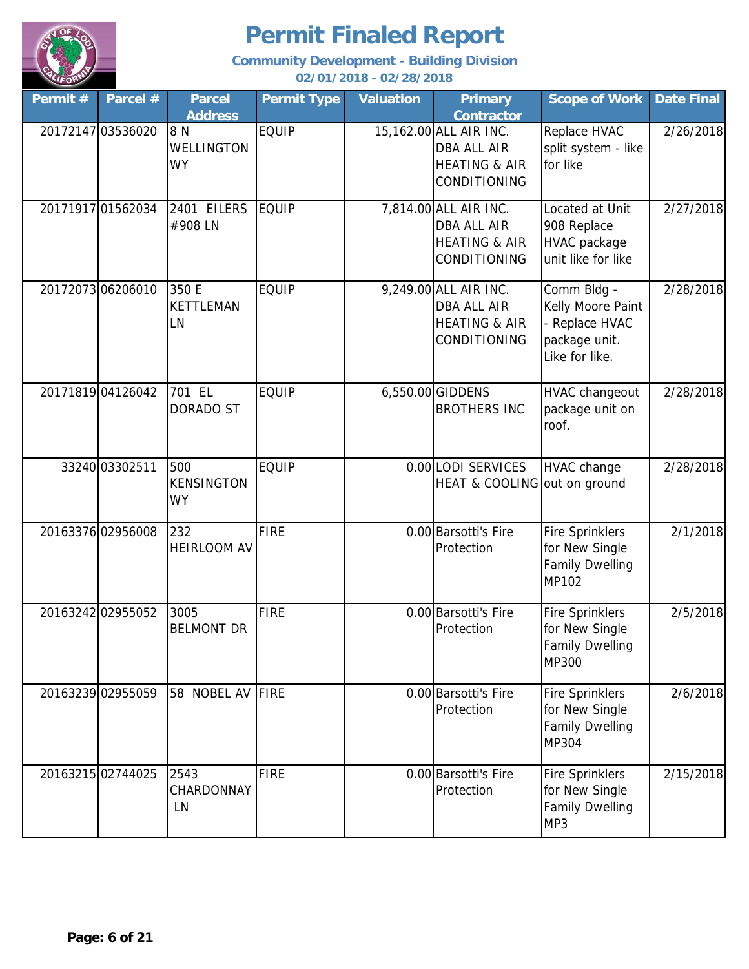

| Permit # | Parcel #          | <b>Parcel</b><br><b>Address</b>       | <b>Permit Type</b> | <b>Valuation</b> | <b>Primary</b><br><b>Contractor</b>                                                      | <b>Scope of Work</b>                                                                  | <b>Date Final</b> |
|----------|-------------------|---------------------------------------|--------------------|------------------|------------------------------------------------------------------------------------------|---------------------------------------------------------------------------------------|-------------------|
|          | 20172147 03536020 | 8 N<br><b>WELLINGTON</b><br><b>WY</b> | <b>EQUIP</b>       |                  | 15,162.00 ALL AIR INC.<br><b>DBA ALL AIR</b><br><b>HEATING &amp; AIR</b><br>CONDITIONING | Replace HVAC<br>split system - like<br>for like                                       | 2/26/2018         |
|          | 20171917 01562034 | 2401 EILERS<br>#908 LN                | <b>EQUIP</b>       |                  | 7,814.00 ALL AIR INC.<br><b>DBA ALL AIR</b><br><b>HEATING &amp; AIR</b><br>CONDITIONING  | Located at Unit<br>908 Replace<br>HVAC package<br>unit like for like                  | 2/27/2018         |
|          | 2017207306206010  | 350 E<br><b>KETTLEMAN</b><br>LN       | <b>EQUIP</b>       |                  | 9,249.00 ALL AIR INC.<br>DBA ALL AIR<br><b>HEATING &amp; AIR</b><br>CONDITIONING         | Comm Bldg -<br>Kelly Moore Paint<br>- Replace HVAC<br>package unit.<br>Like for like. | 2/28/2018         |
|          | 20171819 04126042 | 701 EL<br><b>DORADO ST</b>            | <b>EQUIP</b>       |                  | 6,550.00 GIDDENS<br><b>BROTHERS INC</b>                                                  | HVAC changeout<br>package unit on<br>roof.                                            | 2/28/2018         |
|          | 33240 03302511    | 500<br><b>KENSINGTON</b><br><b>WY</b> | <b>EQUIP</b>       |                  | 0.00 LODI SERVICES<br>HEAT & COOLING out on ground                                       | <b>HVAC</b> change                                                                    | 2/28/2018         |
|          | 2016337602956008  | 232<br><b>HEIRLOOM AV</b>             | <b>FIRE</b>        |                  | 0.00 Barsotti's Fire<br>Protection                                                       | <b>Fire Sprinklers</b><br>for New Single<br><b>Family Dwelling</b><br><b>MP102</b>    | 2/1/2018          |
|          | 20163242 02955052 | 3005<br><b>BELMONT DR</b>             | <b>FIRE</b>        |                  | 0.00 Barsotti's Fire<br>Protection                                                       | <b>Fire Sprinklers</b><br>for New Single<br><b>Family Dwelling</b><br><b>MP300</b>    | 2/5/2018          |
|          | 20163239 02955059 | 58 NOBEL AV FIRE                      |                    |                  | 0.00 Barsotti's Fire<br>Protection                                                       | <b>Fire Sprinklers</b><br>for New Single<br><b>Family Dwelling</b><br><b>MP304</b>    | 2/6/2018          |
|          | 20163215 02744025 | 2543<br>CHARDONNAY<br>LN              | <b>FIRE</b>        |                  | 0.00 Barsotti's Fire<br>Protection                                                       | <b>Fire Sprinklers</b><br>for New Single<br><b>Family Dwelling</b><br>MP3             | 2/15/2018         |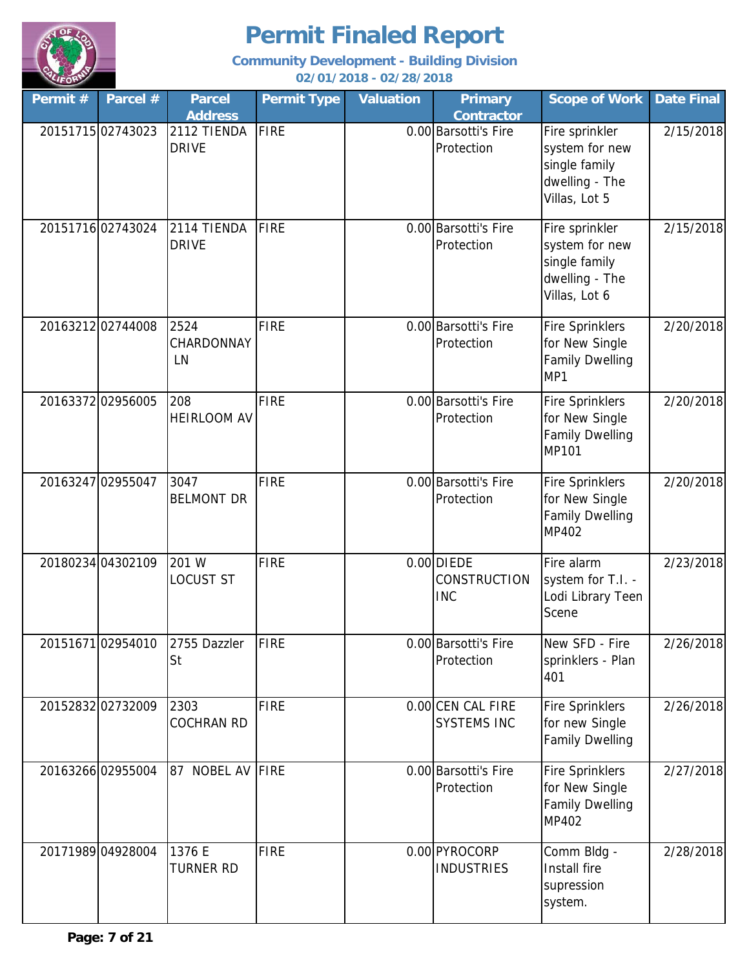

| Permit# | Parcel #          | <b>Parcel</b><br><b>Address</b> | <b>Permit Type</b> | <b>Valuation</b> | <b>Primary</b><br><b>Contractor</b>               | <b>Scope of Work</b>                                                                 | <b>Date Final</b> |
|---------|-------------------|---------------------------------|--------------------|------------------|---------------------------------------------------|--------------------------------------------------------------------------------------|-------------------|
|         | 20151715 02743023 | 2112 TIENDA<br><b>DRIVE</b>     | FIRE               |                  | 0.00 Barsotti's Fire<br>Protection                | Fire sprinkler<br>system for new<br>single family<br>dwelling - The<br>Villas, Lot 5 | 2/15/2018         |
|         | 2015171602743024  | 2114 TIENDA<br><b>DRIVE</b>     | FIRE               |                  | 0.00 Barsotti's Fire<br>Protection                | Fire sprinkler<br>system for new<br>single family<br>dwelling - The<br>Villas, Lot 6 | 2/15/2018         |
|         | 20163212 02744008 | 2524<br>CHARDONNAY<br>LN        | <b>FIRE</b>        |                  | 0.00 Barsotti's Fire<br>Protection                | <b>Fire Sprinklers</b><br>for New Single<br><b>Family Dwelling</b><br>MP1            | 2/20/2018         |
|         | 2016337202956005  | 208<br><b>HEIRLOOM AV</b>       | <b>FIRE</b>        |                  | 0.00 Barsotti's Fire<br>Protection                | <b>Fire Sprinklers</b><br>for New Single<br><b>Family Dwelling</b><br>MP101          | 2/20/2018         |
|         | 20163247 02955047 | 3047<br><b>BELMONT DR</b>       | <b>FIRE</b>        |                  | 0.00 Barsotti's Fire<br>Protection                | <b>Fire Sprinklers</b><br>for New Single<br><b>Family Dwelling</b><br>MP402          | 2/20/2018         |
|         | 20180234 04302109 | 201 W<br><b>LOCUST ST</b>       | <b>FIRE</b>        |                  | $0.00$ DIEDE<br><b>CONSTRUCTION</b><br><b>INC</b> | Fire alarm<br>system for T.I. -<br>Lodi Library Teen<br>Scene                        | 2/23/2018         |
|         | 2015167102954010  | 2755 Dazzler<br>St              | <b>FIRE</b>        |                  | 0.00 Barsotti's Fire<br>Protection                | New SFD - Fire<br>sprinklers - Plan<br>401                                           | 2/26/2018         |
|         | 20152832 02732009 | 2303<br><b>COCHRAN RD</b>       | <b>FIRE</b>        |                  | 0.00 CEN CAL FIRE<br><b>SYSTEMS INC</b>           | <b>Fire Sprinklers</b><br>for new Single<br>Family Dwelling                          | 2/26/2018         |
|         | 20163266 02955004 | 87 NOBEL AV                     | FIRE               |                  | 0.00 Barsotti's Fire<br>Protection                | <b>Fire Sprinklers</b><br>for New Single<br><b>Family Dwelling</b><br>MP402          | 2/27/2018         |
|         | 20171989 04928004 | 1376 E<br><b>TURNER RD</b>      | <b>FIRE</b>        |                  | 0.00 PYROCORP<br><b>INDUSTRIES</b>                | Comm Bldg -<br>Install fire<br>supression<br>system.                                 | 2/28/2018         |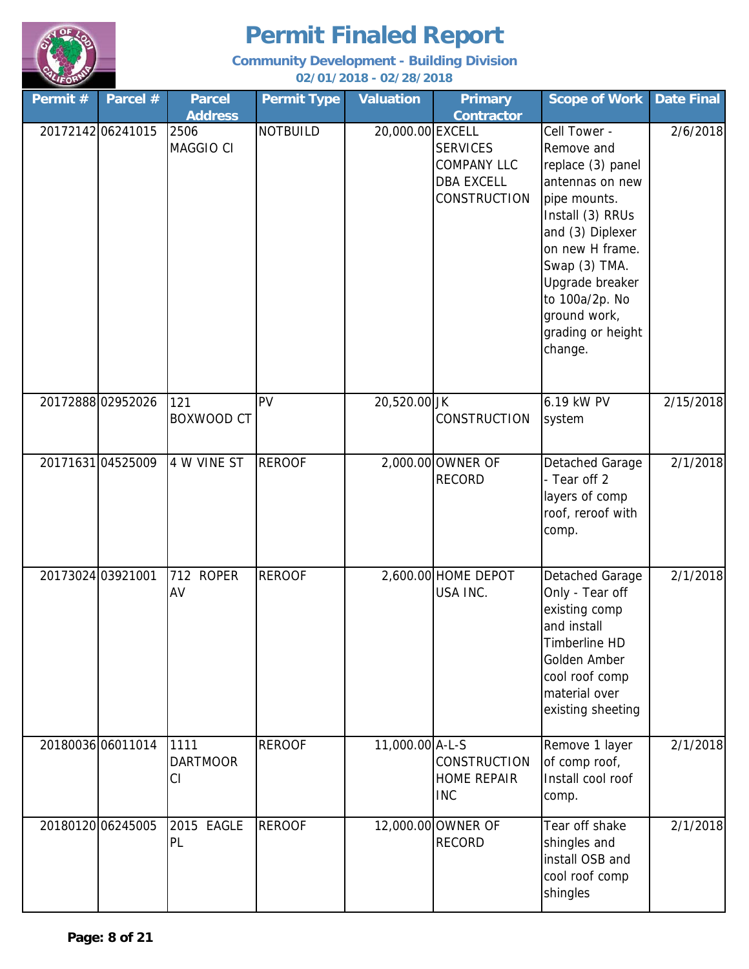

| Permit #          | Parcel #          | <b>Parcel</b>                 | <b>Permit Type</b> | <b>Valuation</b> | <b>Primary</b>                                                                    | <b>Scope of Work</b>                                                                                                                                                                                                                                | <b>Date Final</b> |
|-------------------|-------------------|-------------------------------|--------------------|------------------|-----------------------------------------------------------------------------------|-----------------------------------------------------------------------------------------------------------------------------------------------------------------------------------------------------------------------------------------------------|-------------------|
|                   |                   | <b>Address</b>                |                    |                  | <b>Contractor</b>                                                                 |                                                                                                                                                                                                                                                     |                   |
|                   | 20172142 06241015 | 2506<br>MAGGIO CI             | <b>NOTBUILD</b>    | 20,000.00 EXCELL | <b>SERVICES</b><br><b>COMPANY LLC</b><br><b>DBA EXCELL</b><br><b>CONSTRUCTION</b> | Cell Tower -<br>Remove and<br>replace (3) panel<br>antennas on new<br>pipe mounts.<br>Install (3) RRUs<br>and (3) Diplexer<br>on new H frame.<br>Swap (3) TMA.<br>Upgrade breaker<br>to 100a/2p. No<br>ground work,<br>grading or height<br>change. | 2/6/2018          |
|                   | 20172888 02952026 | 121<br>BOXWOOD CT             | <b>PV</b>          | 20,520.00 JK     | <b>CONSTRUCTION</b>                                                               | 6.19 kW PV<br>system                                                                                                                                                                                                                                | 2/15/2018         |
|                   | 20171631 04525009 | 4 W VINE ST                   | <b>REROOF</b>      |                  | 2,000.00 OWNER OF<br><b>RECORD</b>                                                | Detached Garage<br>- Tear off 2<br>layers of comp<br>roof, reroof with<br>comp.                                                                                                                                                                     | 2/1/2018          |
| 20173024 03921001 |                   | 712<br><b>ROPER</b><br>AV     | <b>REROOF</b>      |                  | 2,600.00 HOME DEPOT<br>USA INC.                                                   | Detached Garage<br>Only - Tear off<br>existing comp<br>and install<br>Timberline HD<br>Golden Amber<br>cool roof comp<br>material over<br>existing sheeting                                                                                         | 2/1/2018          |
|                   | 20180036 06011014 | 1111<br><b>DARTMOOR</b><br>CI | <b>REROOF</b>      | 11,000.00 A-L-S  | <b>CONSTRUCTION</b><br><b>HOME REPAIR</b><br><b>INC</b>                           | Remove 1 layer<br>of comp roof,<br>Install cool roof<br>comp.                                                                                                                                                                                       | 2/1/2018          |
|                   | 20180120 06245005 | 2015 EAGLE<br>PL              | <b>REROOF</b>      |                  | 12,000.00 OWNER OF<br><b>RECORD</b>                                               | Tear off shake<br>shingles and<br>install OSB and<br>cool roof comp<br>shingles                                                                                                                                                                     | 2/1/2018          |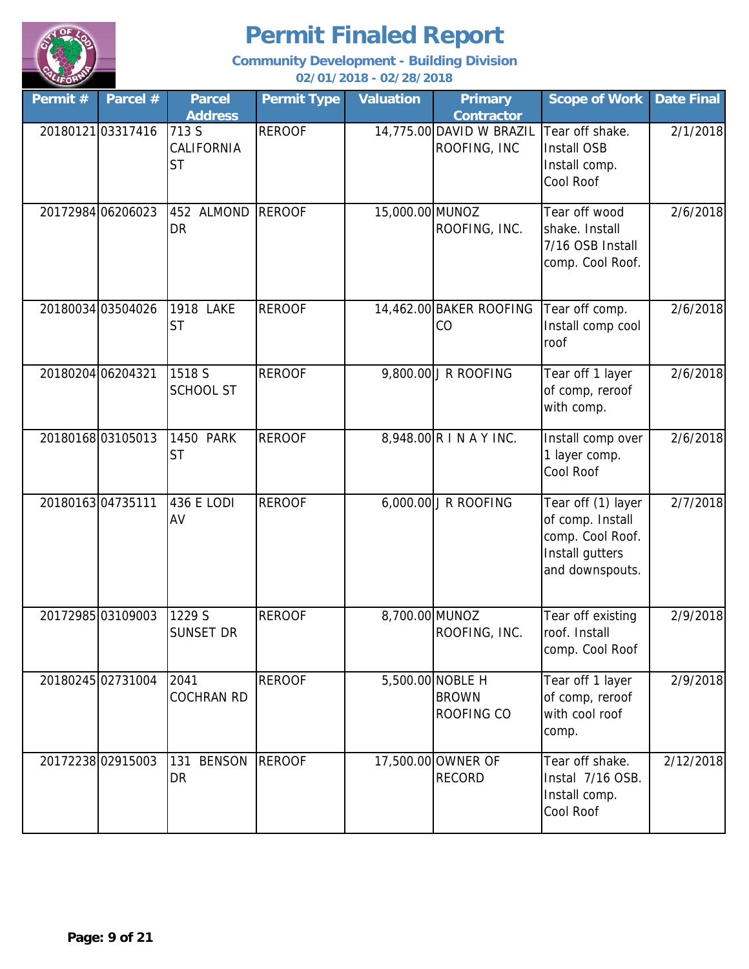

| Permit # | Parcel #          | <b>Parcel</b><br><b>Address</b>  | <b>Permit Type</b> | <b>Valuation</b> | <b>Primary</b><br><b>Contractor</b>            | <b>Scope of Work</b>                                                                             | <b>Date Final</b> |
|----------|-------------------|----------------------------------|--------------------|------------------|------------------------------------------------|--------------------------------------------------------------------------------------------------|-------------------|
|          | 2018012103317416  | 713 S<br>CALIFORNIA<br><b>ST</b> | <b>REROOF</b>      |                  | 14,775.00 DAVID W BRAZIL<br>ROOFING, INC       | Tear off shake.<br>Install OSB<br>Install comp.<br>Cool Roof                                     | 2/1/2018          |
|          | 20172984 06206023 | 452 ALMOND<br><b>DR</b>          | <b>REROOF</b>      | 15,000.00 MUNOZ  | ROOFING, INC.                                  | Tear off wood<br>shake. Install<br>7/16 OSB Install<br>comp. Cool Roof.                          | 2/6/2018          |
|          | 20180034 03504026 | 1918 LAKE<br><b>ST</b>           | <b>REROOF</b>      |                  | 14,462.00 BAKER ROOFING<br>CO                  | Tear off comp.<br>Install comp cool<br>roof                                                      | 2/6/2018          |
|          | 20180204 06204321 | 1518 S<br><b>SCHOOL ST</b>       | <b>REROOF</b>      |                  | 9,800.00 J R ROOFING                           | Tear off 1 layer<br>of comp, reroof<br>with comp.                                                | 2/6/2018          |
|          | 2018016803105013  | <b>1450 PARK</b><br><b>ST</b>    | <b>REROOF</b>      |                  | 8,948.00 R I N A Y INC.                        | Install comp over<br>1 layer comp.<br>Cool Roof                                                  | 2/6/2018          |
|          | 2018016304735111  | 436 E LODI<br>AV                 | <b>REROOF</b>      |                  | 6,000.00 J R ROOFING                           | Tear off (1) layer<br>of comp. Install<br>comp. Cool Roof.<br>Install gutters<br>and downspouts. | 2/7/2018          |
|          | 20172985 03109003 | 1229 S<br><b>SUNSET DR</b>       | <b>REROOF</b>      | 8,700.00 MUNOZ   | ROOFING, INC.                                  | Tear off existing<br>roof. Install<br>comp. Cool Roof                                            | 2/9/2018          |
|          | 20180245 02731004 | 2041<br><b>COCHRAN RD</b>        | <b>REROOF</b>      |                  | 5,500.00 NOBLE H<br><b>BROWN</b><br>ROOFING CO | Tear off 1 layer<br>of comp, reroof<br>with cool roof<br>comp.                                   | 2/9/2018          |
|          | 20172238 02915003 | <b>BENSON</b><br>131<br>DR       | <b>REROOF</b>      |                  | 17,500.00 OWNER OF<br><b>RECORD</b>            | Tear off shake.<br>Instal 7/16 OSB.<br>Install comp.<br>Cool Roof                                | 2/12/2018         |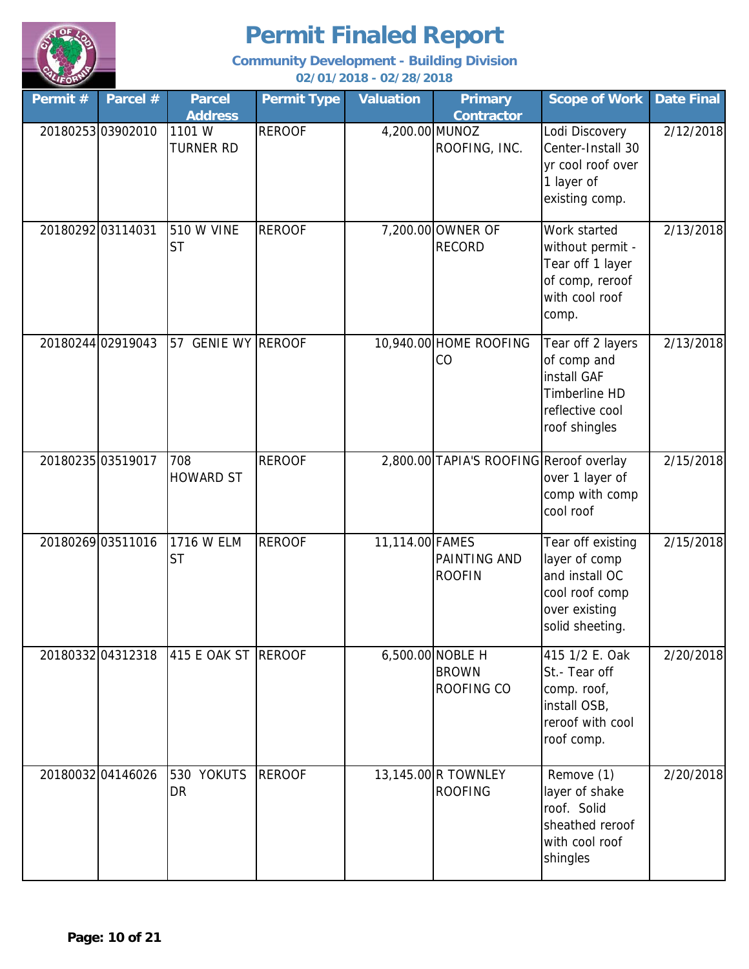

| Permit#           | Parcel #          | <b>Parcel</b><br><b>Address</b> | <b>Permit Type</b> | <b>Valuation</b> | <b>Primary</b><br><b>Contractor</b>            | <b>Scope of Work</b>                                                                                       | <b>Date Final</b> |
|-------------------|-------------------|---------------------------------|--------------------|------------------|------------------------------------------------|------------------------------------------------------------------------------------------------------------|-------------------|
|                   | 2018025303902010  | 1101 W<br><b>TURNER RD</b>      | <b>REROOF</b>      | 4,200.00 MUNOZ   | ROOFING, INC.                                  | Lodi Discovery<br>Center-Install 30<br>yr cool roof over<br>1 layer of<br>existing comp.                   | 2/12/2018         |
| 2018029203114031  |                   | 510 W VINE<br><b>ST</b>         | <b>REROOF</b>      |                  | 7,200.00 OWNER OF<br><b>RECORD</b>             | Work started<br>without permit -<br>Tear off 1 layer<br>of comp, reroof<br>with cool roof<br>comp.         | 2/13/2018         |
|                   | 20180244 02919043 | 57 GENIE WY REROOF              |                    |                  | 10,940.00 HOME ROOFING<br>CO                   | Tear off 2 layers<br>of comp and<br>install GAF<br>Timberline HD<br>reflective cool<br>roof shingles       | 2/13/2018         |
| 20180235 03519017 |                   | 708<br><b>HOWARD ST</b>         | <b>REROOF</b>      |                  | 2,800.00 TAPIA'S ROOFING Reroof overlay        | over 1 layer of<br>comp with comp<br>cool roof                                                             | 2/15/2018         |
|                   | 20180269 03511016 | 1716 W ELM<br><b>ST</b>         | <b>REROOF</b>      | 11,114.00 FAMES  | PAINTING AND<br><b>ROOFIN</b>                  | Tear off existing<br>layer of comp<br>and install OC<br>cool roof comp<br>over existing<br>solid sheeting. | 2/15/2018         |
|                   | 20180332 04312318 | 415 E OAK ST                    | <b>REROOF</b>      |                  | 6,500.00 NOBLE H<br><b>BROWN</b><br>ROOFING CO | 415 1/2 E. Oak<br>St.-Tear off<br>comp. roof,<br>install OSB,<br>reroof with cool<br>roof comp.            | 2/20/2018         |
|                   | 20180032 04146026 | 530 YOKUTS<br>DR                | <b>REROOF</b>      |                  | 13,145.00 R TOWNLEY<br><b>ROOFING</b>          | Remove (1)<br>layer of shake<br>roof. Solid<br>sheathed reroof<br>with cool roof<br>shingles               | 2/20/2018         |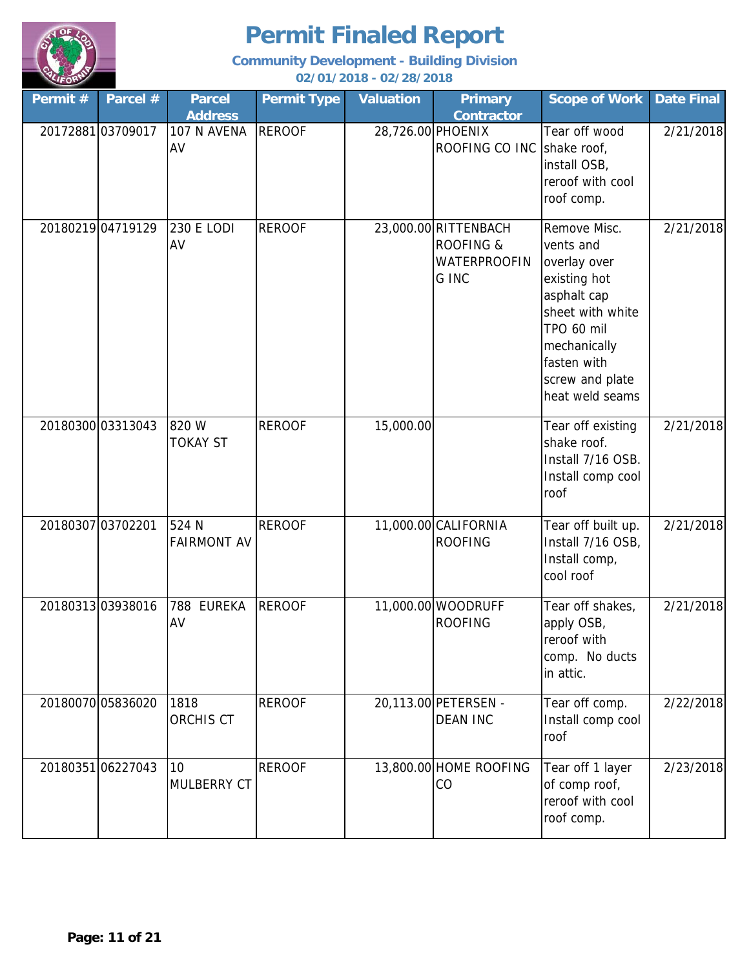

| Permit # | Parcel #          | <b>Parcel</b><br><b>Address</b> | <b>Permit Type</b> | <b>Valuation</b>  | <b>Primary</b><br><b>Contractor</b>                                          | <b>Scope of Work</b>                                                                                                                                                            | <b>Date Final</b> |
|----------|-------------------|---------------------------------|--------------------|-------------------|------------------------------------------------------------------------------|---------------------------------------------------------------------------------------------------------------------------------------------------------------------------------|-------------------|
|          | 2017288103709017  | 107 N AVENA<br>AV               | <b>REROOF</b>      | 28,726.00 PHOENIX | ROOFING CO INC Shake roof,                                                   | Tear off wood<br>install OSB,<br>reroof with cool<br>roof comp.                                                                                                                 | 2/21/2018         |
|          | 20180219 04719129 | <b>230 E LODI</b><br>AV         | <b>REROOF</b>      |                   | 23,000.00 RITTENBACH<br><b>ROOFING &amp;</b><br><b>WATERPROOFIN</b><br>G INC | Remove Misc.<br>vents and<br>overlay over<br>existing hot<br>asphalt cap<br>sheet with white<br>TPO 60 mil<br>mechanically<br>fasten with<br>screw and plate<br>heat weld seams | 2/21/2018         |
|          | 20180300 03313043 | 820 W<br><b>TOKAY ST</b>        | <b>REROOF</b>      | 15,000.00         |                                                                              | Tear off existing<br>shake roof.<br>Install 7/16 OSB.<br>Install comp cool<br>roof                                                                                              | 2/21/2018         |
|          | 20180307 03702201 | 524 N<br><b>FAIRMONT AV</b>     | <b>REROOF</b>      |                   | 11,000.00 CALIFORNIA<br><b>ROOFING</b>                                       | Tear off built up.<br>Install 7/16 OSB,<br>Install comp,<br>cool roof                                                                                                           | 2/21/2018         |
|          | 2018031303938016  | <b>EUREKA</b><br>788<br>AV      | <b>REROOF</b>      |                   | 11,000.00 WOODRUFF<br><b>ROOFING</b>                                         | Tear off shakes,<br>apply OSB,<br>reroof with<br>comp. No ducts<br>in attic.                                                                                                    | 2/21/2018         |
|          | 20180070 05836020 | 1818<br>ORCHIS CT               | <b>REROOF</b>      |                   | 20,113.00 PETERSEN -<br><b>DEAN INC</b>                                      | Tear off comp.<br>Install comp cool<br>roof                                                                                                                                     | 2/22/2018         |
|          | 2018035106227043  | 10<br><b>MULBERRY CT</b>        | <b>REROOF</b>      |                   | 13,800.00 HOME ROOFING<br>CO                                                 | Tear off 1 layer<br>of comp roof,<br>reroof with cool<br>roof comp.                                                                                                             | 2/23/2018         |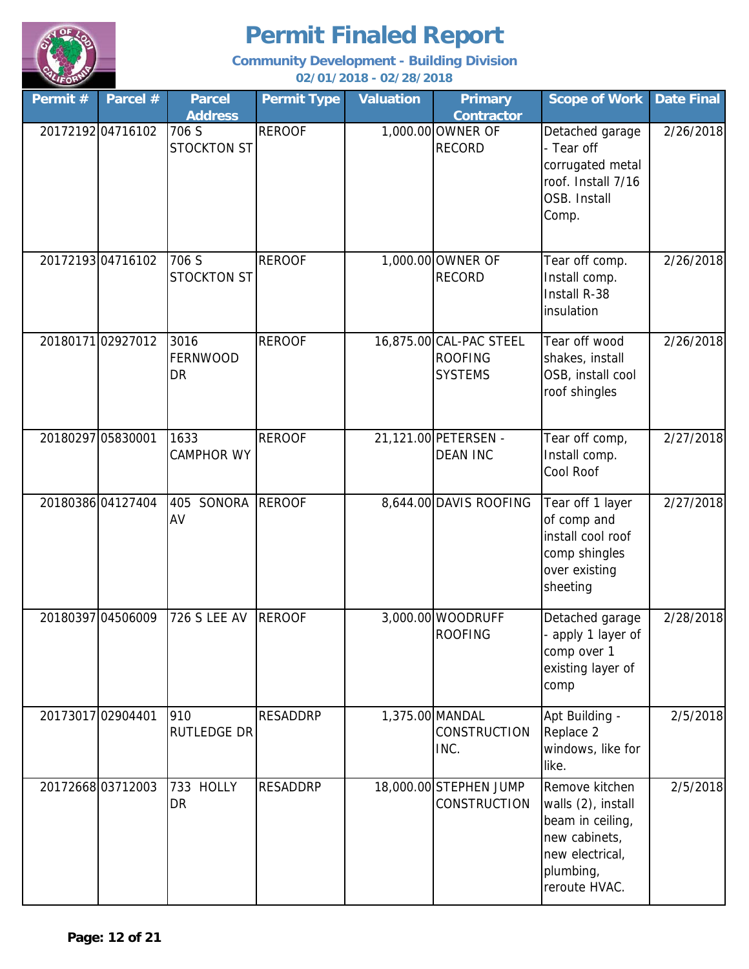

| Permit #          | Parcel #          | <b>Parcel</b><br><b>Address</b>  | <b>Permit Type</b> | <b>Valuation</b> | <b>Primary</b><br><b>Contractor</b>                         | <b>Scope of Work</b>                                                                                                       | <b>Date Final</b> |
|-------------------|-------------------|----------------------------------|--------------------|------------------|-------------------------------------------------------------|----------------------------------------------------------------------------------------------------------------------------|-------------------|
|                   | 2017219204716102  | 706 S<br><b>STOCKTON ST</b>      | <b>REROOF</b>      |                  | 1,000.00 OWNER OF<br><b>RECORD</b>                          | Detached garage<br>- Tear off<br>corrugated metal<br>roof. Install 7/16<br>OSB. Install<br>Comp.                           | 2/26/2018         |
|                   | 2017219304716102  | 706 S<br><b>STOCKTON ST</b>      | <b>REROOF</b>      |                  | 1,000.00 OWNER OF<br><b>RECORD</b>                          | Tear off comp.<br>Install comp.<br>Install R-38<br>insulation                                                              | 2/26/2018         |
|                   | 2018017102927012  | 3016<br>FERNWOOD<br><b>DR</b>    | <b>REROOF</b>      |                  | 16,875.00 CAL-PAC STEEL<br><b>ROOFING</b><br><b>SYSTEMS</b> | Tear off wood<br>shakes, install<br>OSB, install cool<br>roof shingles                                                     | 2/26/2018         |
| 20180297 05830001 |                   | 1633<br><b>CAMPHOR WY</b>        | <b>REROOF</b>      |                  | 21,121.00 PETERSEN -<br><b>DEAN INC</b>                     | Tear off comp,<br>Install comp.<br>Cool Roof                                                                               | 2/27/2018         |
|                   | 2018038604127404  | SONORA<br>405<br>AV              | <b>REROOF</b>      |                  | 8,644.00 DAVIS ROOFING                                      | Tear off 1 layer<br>of comp and<br>install cool roof<br>comp shingles<br>over existing<br>sheeting                         | 2/27/2018         |
|                   | 20180397 04506009 | <b>726 S LEE AV</b>              | <b>REROOF</b>      |                  | 3,000.00 WOODRUFF<br><b>ROOFING</b>                         | Detached garage<br>- apply 1 layer of<br>comp over 1<br>existing layer of<br>comp                                          | 2/28/2018         |
| 20173017 02904401 |                   | 910<br><b>RUTLEDGE DR</b>        | <b>RESADDRP</b>    | 1,375.00 MANDAL  | <b>CONSTRUCTION</b><br>INC.                                 | Apt Building -<br>Replace 2<br>windows, like for<br>like.                                                                  | 2/5/2018          |
|                   | 2017266803712003  | <b>HOLLY</b><br>733<br><b>DR</b> | <b>RESADDRP</b>    |                  | 18,000.00 STEPHEN JUMP<br><b>CONSTRUCTION</b>               | Remove kitchen<br>walls (2), install<br>beam in ceiling,<br>new cabinets,<br>new electrical,<br>plumbing,<br>reroute HVAC. | 2/5/2018          |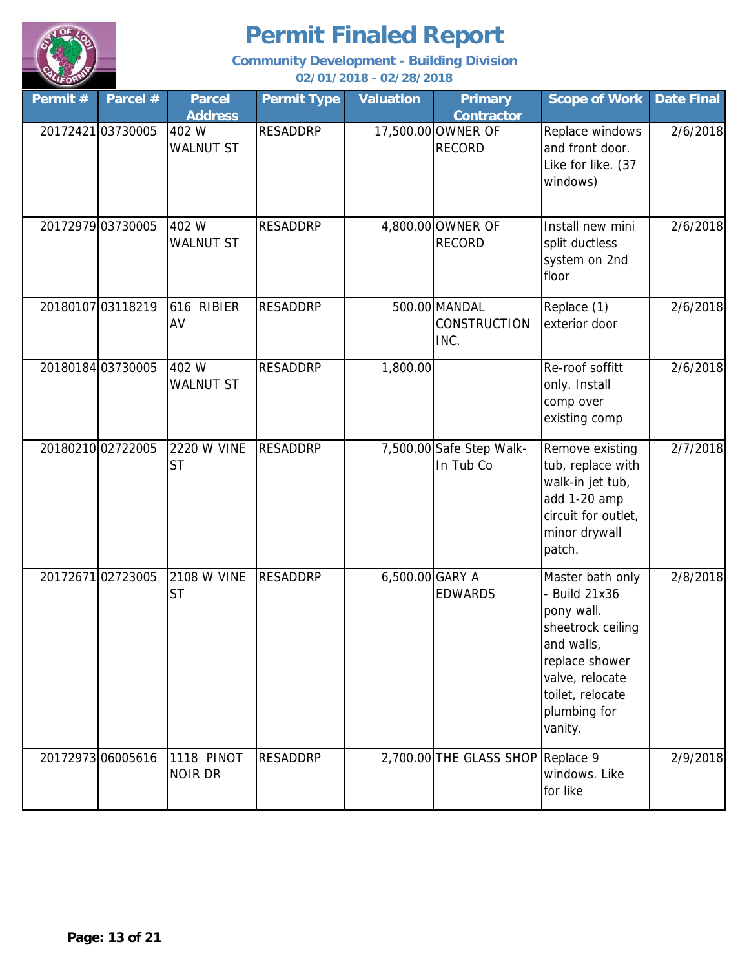

| Permit# | Parcel #          | <b>Parcel</b><br><b>Address</b> | <b>Permit Type</b> | <b>Valuation</b> | <b>Primary</b><br><b>Contractor</b>   | <b>Scope of Work</b>                                                                                                                                                   | <b>Date Final</b> |
|---------|-------------------|---------------------------------|--------------------|------------------|---------------------------------------|------------------------------------------------------------------------------------------------------------------------------------------------------------------------|-------------------|
|         | 20172421 03730005 | 402 W<br><b>WALNUT ST</b>       | <b>RESADDRP</b>    |                  | 17,500.00 OWNER OF<br><b>RECORD</b>   | Replace windows<br>and front door.<br>Like for like. (37<br>windows)                                                                                                   | 2/6/2018          |
|         | 20172979 03730005 | 402 W<br><b>WALNUT ST</b>       | <b>RESADDRP</b>    |                  | 4,800.00 OWNER OF<br><b>RECORD</b>    | Install new mini<br>split ductless<br>system on 2nd<br>floor                                                                                                           | 2/6/2018          |
|         | 20180107 03118219 | 616 RIBIER<br>AV                | <b>RESADDRP</b>    |                  | 500.00 MANDAL<br>CONSTRUCTION<br>INC. | Replace (1)<br>exterior door                                                                                                                                           | 2/6/2018          |
|         | 20180184 03730005 | 402 W<br><b>WALNUT ST</b>       | <b>RESADDRP</b>    | 1,800.00         |                                       | Re-roof soffitt<br>only. Install<br>comp over<br>existing comp                                                                                                         | 2/6/2018          |
|         | 2018021002722005  | <b>2220 W VINE</b><br><b>ST</b> | <b>RESADDRP</b>    |                  | 7,500.00 Safe Step Walk-<br>In Tub Co | Remove existing<br>tub, replace with<br>walk-in jet tub,<br>add 1-20 amp<br>circuit for outlet,<br>minor drywall<br>patch.                                             | 2/7/2018          |
|         | 2017267102723005  | <b>2108 W VINE</b><br><b>ST</b> | <b>RESADDRP</b>    | 6,500.00 GARY A  | <b>EDWARDS</b>                        | Master bath only<br>- Build 21x36<br>pony wall.<br>sheetrock ceiling<br>and walls,<br>replace shower<br>valve, relocate<br>toilet, relocate<br>plumbing for<br>vanity. | 2/8/2018          |
|         | 20172973 06005616 | 1118 PINOT<br><b>NOIR DR</b>    | <b>RESADDRP</b>    |                  | 2,700.00 THE GLASS SHOP Replace 9     | windows. Like<br>for like                                                                                                                                              | 2/9/2018          |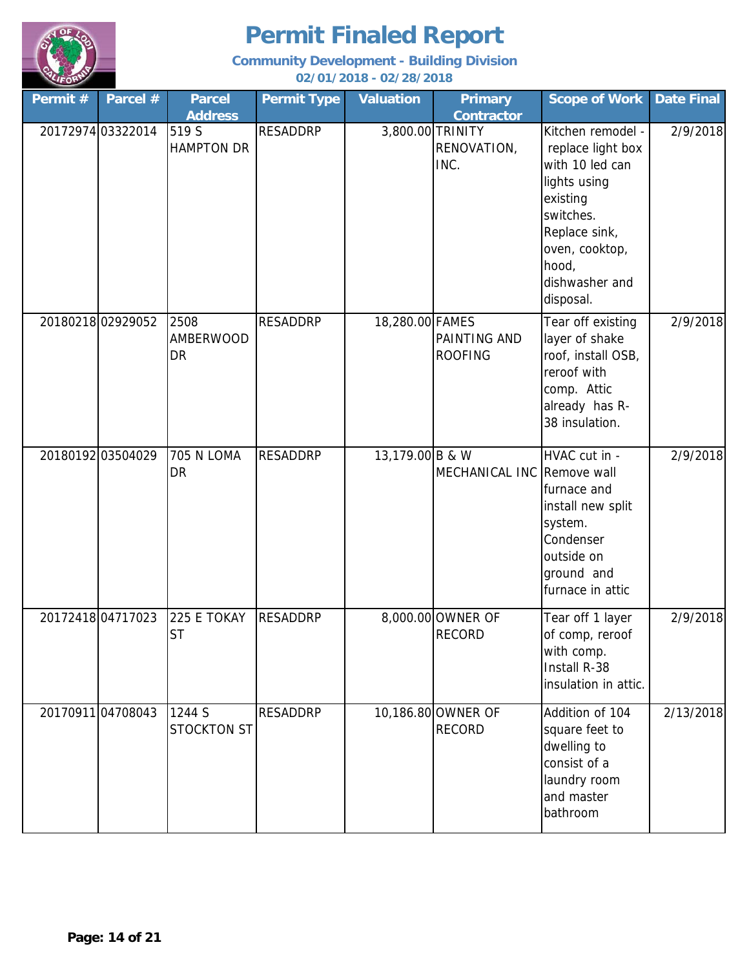

| Permit # | Parcel #          | <b>Parcel</b><br><b>Address</b> | <b>Permit Type</b> | <b>Valuation</b> | <b>Primary</b><br><b>Contractor</b>   | <b>Scope of Work</b>                                                                                                                                                          | <b>Date Final</b> |
|----------|-------------------|---------------------------------|--------------------|------------------|---------------------------------------|-------------------------------------------------------------------------------------------------------------------------------------------------------------------------------|-------------------|
|          | 20172974 03322014 | 519 S<br><b>HAMPTON DR</b>      | <b>RESADDRP</b>    | 3,800.00 TRINITY | RENOVATION,<br>INC.                   | Kitchen remodel -<br>replace light box<br>with 10 led can<br>lights using<br>existing<br>switches.<br>Replace sink,<br>oven, cooktop,<br>hood,<br>dishwasher and<br>disposal. | 2/9/2018          |
|          | 2018021802929052  | 2508<br><b>AMBERWOOD</b><br>DR  | <b>RESADDRP</b>    | 18,280.00 FAMES  | <b>PAINTING AND</b><br><b>ROOFING</b> | Tear off existing<br>layer of shake<br>roof, install OSB,<br>reroof with<br>comp. Attic<br>already has R-<br>38 insulation.                                                   | 2/9/2018          |
|          | 2018019203504029  | <b>705 N LOMA</b><br>DR         | <b>RESADDRP</b>    | 13,179.00 B & W  | MECHANICAL INC Remove wall            | HVAC cut in -<br>furnace and<br>install new split<br>system.<br>Condenser<br>outside on<br>ground and<br>furnace in attic                                                     | 2/9/2018          |
|          | 20172418 04717023 | 225 E TOKAY<br><b>ST</b>        | <b>RESADDRP</b>    |                  | 8,000.00 OWNER OF<br><b>RECORD</b>    | Tear off 1 layer<br>of comp, reroof<br>with comp.<br>Install R-38<br>insulation in attic.                                                                                     | 2/9/2018          |
|          | 2017091104708043  | 1244 S<br><b>STOCKTON ST</b>    | <b>RESADDRP</b>    |                  | 10,186.80 OWNER OF<br><b>RECORD</b>   | Addition of 104<br>square feet to<br>dwelling to<br>consist of a<br>laundry room<br>and master<br>bathroom                                                                    | 2/13/2018         |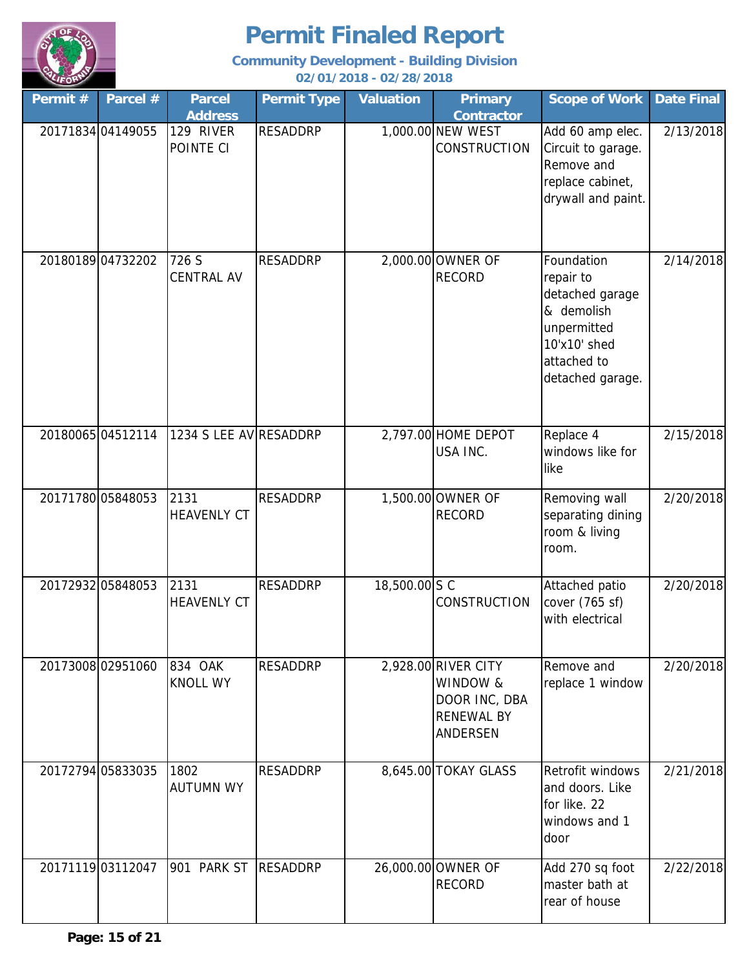

| Permit # | Parcel #          | <b>Parcel</b><br><b>Address</b> | <b>Permit Type</b> | <b>Valuation</b> | <b>Primary</b><br><b>Contractor</b>                                               | <b>Scope of Work</b>                                                                                                       | <b>Date Final</b> |
|----------|-------------------|---------------------------------|--------------------|------------------|-----------------------------------------------------------------------------------|----------------------------------------------------------------------------------------------------------------------------|-------------------|
|          | 20171834 04149055 | 129 RIVER<br>POINTE CI          | <b>RESADDRP</b>    |                  | 1,000.00 NEW WEST<br><b>CONSTRUCTION</b>                                          | Add 60 amp elec.<br>Circuit to garage.<br>Remove and<br>replace cabinet,<br>drywall and paint.                             | 2/13/2018         |
|          | 2018018904732202  | 726 S<br><b>CENTRAL AV</b>      | <b>RESADDRP</b>    |                  | 2,000.00 OWNER OF<br><b>RECORD</b>                                                | Foundation<br>repair to<br>detached garage<br>& demolish<br>unpermitted<br>10'x10' shed<br>attached to<br>detached garage. | 2/14/2018         |
|          | 2018006504512114  | 1234 S LEE AV RESADDRP          |                    |                  | 2,797.00 HOME DEPOT<br>USA INC.                                                   | Replace 4<br>windows like for<br>like                                                                                      | 2/15/2018         |
|          | 20171780 05848053 | 2131<br><b>HEAVENLY CT</b>      | <b>RESADDRP</b>    |                  | 1,500.00 OWNER OF<br><b>RECORD</b>                                                | Removing wall<br>separating dining<br>room & living<br>room.                                                               | 2/20/2018         |
|          | 20172932 05848053 | 2131<br><b>HEAVENLY CT</b>      | <b>RESADDRP</b>    | 18,500.00 S C    | <b>CONSTRUCTION</b>                                                               | Attached patio<br>cover (765 sf)<br>with electrical                                                                        | 2/20/2018         |
|          | 2017300802951060  | 834 OAK<br><b>KNOLL WY</b>      | <b>RESADDRP</b>    |                  | 2,928.00 RIVER CITY<br>WINDOW &<br>DOOR INC, DBA<br><b>RENEWAL BY</b><br>ANDERSEN | Remove and<br>replace 1 window                                                                                             | 2/20/2018         |
|          | 20172794 05833035 | 1802<br><b>AUTUMN WY</b>        | <b>RESADDRP</b>    |                  | 8,645.00 TOKAY GLASS                                                              | Retrofit windows<br>and doors. Like<br>for like. 22<br>windows and 1<br>door                                               | 2/21/2018         |
|          | 2017111903112047  | 901 PARK ST                     | <b>RESADDRP</b>    |                  | 26,000.00 OWNER OF<br><b>RECORD</b>                                               | Add 270 sq foot<br>master bath at<br>rear of house                                                                         | 2/22/2018         |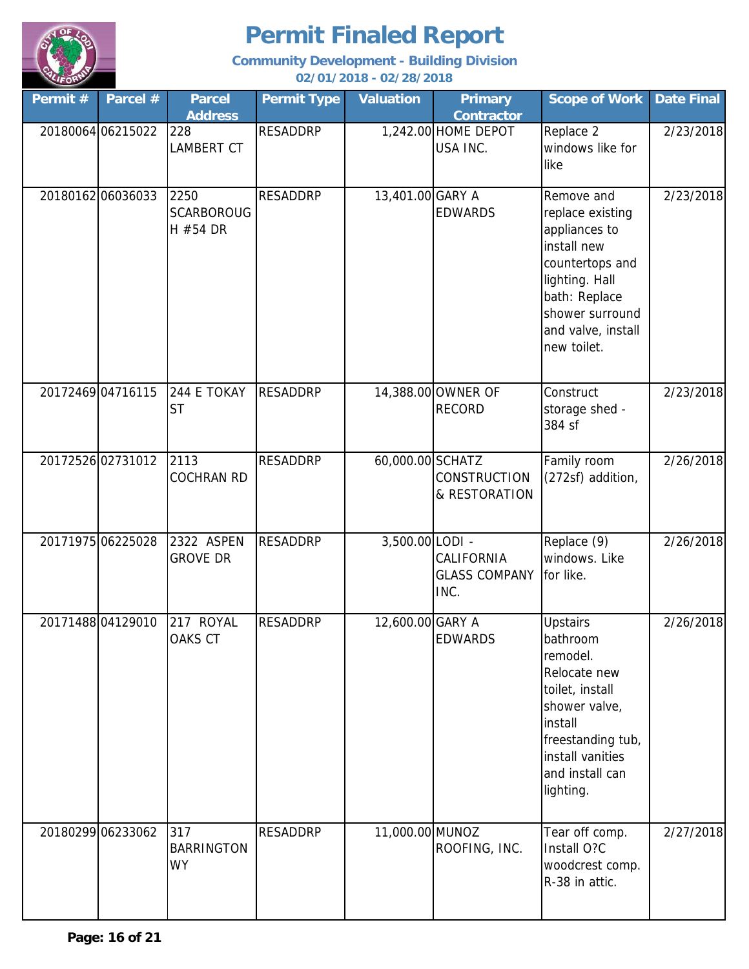

| Permit# | Parcel #          | <b>Parcel</b><br><b>Address</b>       | <b>Permit Type</b> | <b>Valuation</b> | <b>Primary</b><br><b>Contractor</b>        | <b>Scope of Work</b>                                                                                                                                                            | <b>Date Final</b> |
|---------|-------------------|---------------------------------------|--------------------|------------------|--------------------------------------------|---------------------------------------------------------------------------------------------------------------------------------------------------------------------------------|-------------------|
|         | 20180064 06215022 | 228<br>LAMBERT CT                     | <b>RESADDRP</b>    |                  | 1,242.00 HOME DEPOT<br>USA INC.            | Replace 2<br>windows like for<br>like                                                                                                                                           | 2/23/2018         |
|         | 2018016206036033  | 2250<br><b>SCARBOROUG</b><br>H #54 DR | <b>RESADDRP</b>    | 13,401.00 GARY A | <b>EDWARDS</b>                             | Remove and<br>replace existing<br>appliances to<br>install new<br>countertops and<br>lighting. Hall<br>bath: Replace<br>shower surround<br>and valve, install<br>new toilet.    | 2/23/2018         |
|         | 20172469 04716115 | 244 E TOKAY<br><b>ST</b>              | <b>RESADDRP</b>    |                  | 14,388.00 OWNER OF<br><b>RECORD</b>        | Construct<br>storage shed -<br>384 sf                                                                                                                                           | 2/23/2018         |
|         | 20172526 02731012 | 2113<br><b>COCHRAN RD</b>             | <b>RESADDRP</b>    | 60,000.00 SCHATZ | <b>CONSTRUCTION</b><br>& RESTORATION       | Family room<br>(272sf) addition,                                                                                                                                                | 2/26/2018         |
|         | 20171975 06225028 | 2322 ASPEN<br><b>GROVE DR</b>         | <b>RESADDRP</b>    | 3,500.00 LODI -  | CALIFORNIA<br><b>GLASS COMPANY</b><br>INC. | Replace (9)<br>windows. Like<br>for like.                                                                                                                                       | 2/26/2018         |
|         | 2017148804129010  | 217 ROYAL<br>OAKS CT                  | <b>RESADDRP</b>    | 12,600.00 GARY A | <b>EDWARDS</b>                             | <b>Upstairs</b><br>bathroom<br>remodel.<br>Relocate new<br>toilet, install<br>shower valve,<br>install<br>freestanding tub,<br>install vanities<br>and install can<br>lighting. | 2/26/2018         |
|         | 20180299 06233062 | 317<br><b>BARRINGTON</b><br><b>WY</b> | <b>RESADDRP</b>    | 11,000.00 MUNOZ  | ROOFING, INC.                              | Tear off comp.<br>Install O?C<br>woodcrest comp.<br>R-38 in attic.                                                                                                              | 2/27/2018         |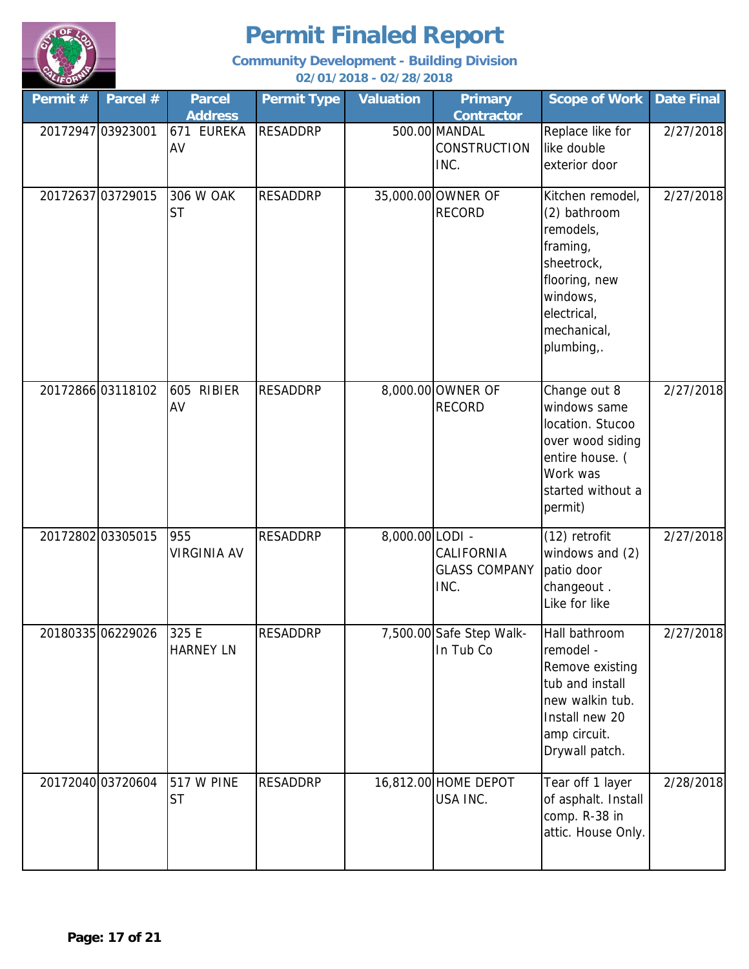

| Permit# | Parcel #          | <b>Parcel</b><br><b>Address</b> | <b>Permit Type</b> | <b>Valuation</b> | <b>Primary</b><br><b>Contractor</b>          | <b>Scope of Work</b>                                                                                                                             | <b>Date Final</b> |
|---------|-------------------|---------------------------------|--------------------|------------------|----------------------------------------------|--------------------------------------------------------------------------------------------------------------------------------------------------|-------------------|
|         | 20172947 03923001 | 671<br><b>EUREKA</b><br>AV      | <b>RESADDRP</b>    |                  | 500.00 MANDAL<br><b>CONSTRUCTION</b><br>INC. | Replace like for<br>like double<br>exterior door                                                                                                 | 2/27/2018         |
|         | 20172637 03729015 | 306 W OAK<br><b>ST</b>          | <b>RESADDRP</b>    |                  | 35,000.00 OWNER OF<br><b>RECORD</b>          | Kitchen remodel,<br>(2) bathroom<br>remodels,<br>framing,<br>sheetrock,<br>flooring, new<br>windows,<br>electrical,<br>mechanical,<br>plumbing,. | 2/27/2018         |
|         | 20172866 03118102 | 605 RIBIER<br>AV                | <b>RESADDRP</b>    |                  | 8,000.00 OWNER OF<br><b>RECORD</b>           | Change out 8<br>windows same<br>location. Stucoo<br>over wood siding<br>entire house. (<br>Work was<br>started without a<br>permit)              | 2/27/2018         |
|         | 20172802 03305015 | 955<br><b>VIRGINIA AV</b>       | <b>RESADDRP</b>    | 8,000.00 LODI -  | CALIFORNIA<br><b>GLASS COMPANY</b><br>INC.   | (12) retrofit<br>windows and (2)<br>patio door<br>changeout.<br>Like for like                                                                    | 2/27/2018         |
|         | 20180335 06229026 | 325 E<br><b>HARNEY LN</b>       | <b>RESADDRP</b>    |                  | 7,500.00 Safe Step Walk-<br>In Tub Co        | Hall bathroom<br>remodel -<br>Remove existing<br>tub and install<br>new walkin tub.<br>Install new 20<br>amp circuit.<br>Drywall patch.          | 2/27/2018         |
|         | 20172040 03720604 | <b>517 W PINE</b><br><b>ST</b>  | <b>RESADDRP</b>    |                  | 16,812.00 HOME DEPOT<br>USA INC.             | Tear off 1 layer<br>of asphalt. Install<br>comp. R-38 in<br>attic. House Only.                                                                   | 2/28/2018         |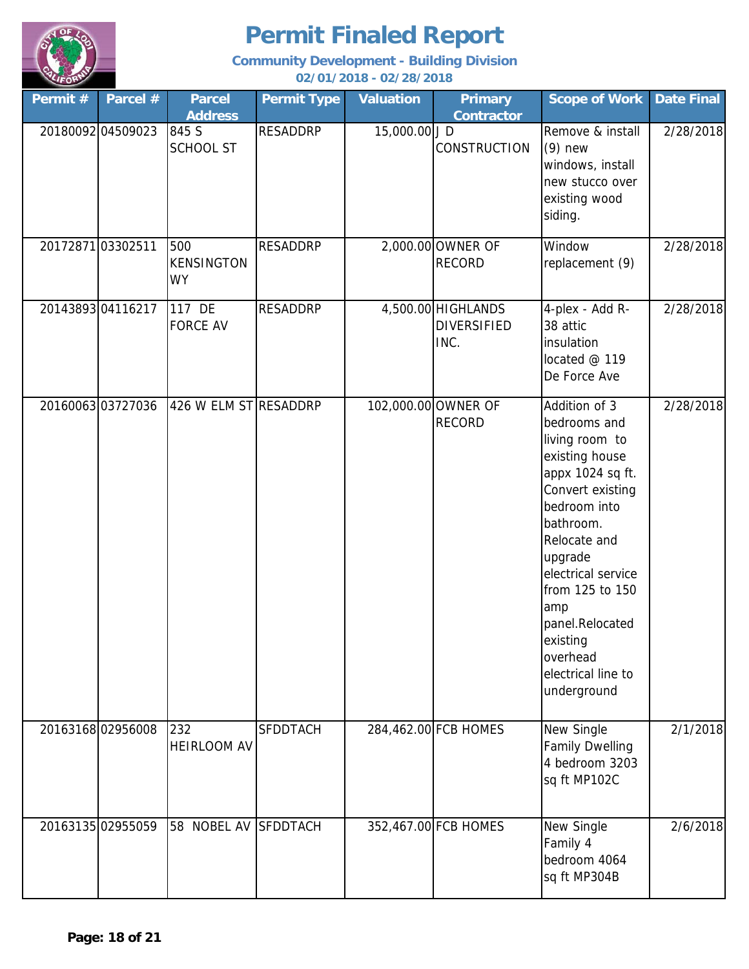

**Community Development - Building Division**

**02/01/2018 - 02/28/2018**

| Permit # | Parcel #          | <b>Parcel</b><br><b>Address</b>       | <b>Permit Type</b> | <b>Valuation</b> | <b>Primary</b><br><b>Contractor</b>              | <b>Scope of Work</b>                                                                                                                                                                                                                                                                              | <b>Date Final</b> |
|----------|-------------------|---------------------------------------|--------------------|------------------|--------------------------------------------------|---------------------------------------------------------------------------------------------------------------------------------------------------------------------------------------------------------------------------------------------------------------------------------------------------|-------------------|
|          | 20180092 04509023 | 845 S<br><b>SCHOOL ST</b>             | <b>RESADDRP</b>    | 15,000.00 J D    | <b>CONSTRUCTION</b>                              | Remove & install<br>$(9)$ new<br>windows, install<br>new stucco over<br>existing wood<br>siding.                                                                                                                                                                                                  | 2/28/2018         |
|          | 20172871 03302511 | 500<br><b>KENSINGTON</b><br><b>WY</b> | <b>RESADDRP</b>    |                  | 2,000.00 OWNER OF<br><b>RECORD</b>               | Window<br>replacement (9)                                                                                                                                                                                                                                                                         | 2/28/2018         |
|          | 2014389304116217  | 117 DE<br><b>FORCE AV</b>             | <b>RESADDRP</b>    |                  | 4,500.00 HIGHLANDS<br><b>DIVERSIFIED</b><br>INC. | 4-plex - Add R-<br>38 attic<br>insulation<br>located @ 119<br>De Force Ave                                                                                                                                                                                                                        | 2/28/2018         |
|          | 2016006303727036  | 426 W ELM ST RESADDRP                 |                    |                  | 102,000.00 OWNER OF<br><b>RECORD</b>             | Addition of 3<br>bedrooms and<br>living room to<br>existing house<br>appx 1024 sq ft.<br>Convert existing<br>bedroom into<br>bathroom.<br>Relocate and<br>upgrade<br>electrical service<br>from 125 to 150<br>amp<br>panel.Relocated<br>existing<br>overhead<br>electrical line to<br>underground | 2/28/2018         |
|          | 2016316802956008  | 232<br><b>HEIRLOOM AV</b>             | <b>SFDDTACH</b>    |                  | 284,462.00 FCB HOMES                             | New Single<br><b>Family Dwelling</b><br>4 bedroom 3203<br>sq ft MP102C                                                                                                                                                                                                                            | 2/1/2018          |
|          | 20163135 02955059 | 58 NOBEL AV                           | <b>SFDDTACH</b>    |                  | 352,467.00 FCB HOMES                             | New Single<br>Family 4<br>bedroom 4064<br>sq ft MP304B                                                                                                                                                                                                                                            | 2/6/2018          |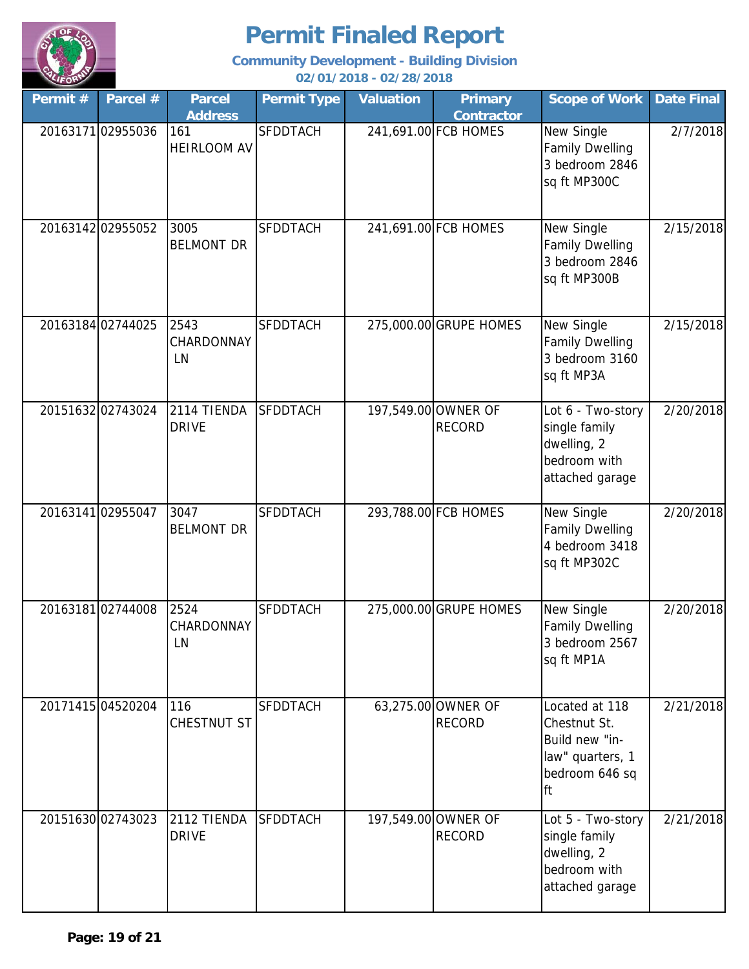

| Permit # | Parcel #          | <b>Parcel</b><br><b>Address</b> | <b>Permit Type</b> | <b>Valuation</b> | <b>Primary</b><br><b>Contractor</b>  | <b>Scope of Work</b>                                                                         | <b>Date Final</b> |
|----------|-------------------|---------------------------------|--------------------|------------------|--------------------------------------|----------------------------------------------------------------------------------------------|-------------------|
|          | 2016317102955036  | 161<br><b>HEIRLOOM AV</b>       | <b>SFDDTACH</b>    |                  | 241,691.00 FCB HOMES                 | New Single<br><b>Family Dwelling</b><br>3 bedroom 2846<br>sq ft MP300C                       | 2/7/2018          |
|          | 20163142 02955052 | 3005<br><b>BELMONT DR</b>       | <b>SFDDTACH</b>    |                  | 241,691.00 FCB HOMES                 | New Single<br><b>Family Dwelling</b><br>3 bedroom 2846<br>sq ft MP300B                       | 2/15/2018         |
|          | 20163184 02744025 | 2543<br>CHARDONNAY<br>LN        | <b>SFDDTACH</b>    |                  | 275,000.00 GRUPE HOMES               | New Single<br><b>Family Dwelling</b><br>3 bedroom 3160<br>sq ft MP3A                         | 2/15/2018         |
|          | 2015163202743024  | 2114 TIENDA<br><b>DRIVE</b>     | <b>SFDDTACH</b>    |                  | 197,549.00 OWNER OF<br><b>RECORD</b> | Lot 6 - Two-story<br>single family<br>dwelling, 2<br>bedroom with<br>attached garage         | 2/20/2018         |
|          | 2016314102955047  | 3047<br><b>BELMONT DR</b>       | <b>SFDDTACH</b>    |                  | 293,788.00 FCB HOMES                 | New Single<br><b>Family Dwelling</b><br>4 bedroom 3418<br>sq ft MP302C                       | 2/20/2018         |
|          | 2016318102744008  | 2524<br><b>CHARDONNAY</b><br>LN | <b>SFDDTACH</b>    |                  | 275,000.00 GRUPE HOMES               | New Single<br><b>Family Dwelling</b><br>3 bedroom 2567<br>sq ft MP1A                         | 2/20/2018         |
|          | 20171415 04520204 | 116<br>CHESTNUT ST              | <b>SFDDTACH</b>    |                  | 63,275.00 OWNER OF<br><b>RECORD</b>  | Located at 118<br>Chestnut St.<br>Build new "in-<br>law" quarters, 1<br>bedroom 646 sq<br>ft | 2/21/2018         |
|          | 20151630 02743023 | 2112 TIENDA<br><b>DRIVE</b>     | <b>SFDDTACH</b>    |                  | 197,549.00 OWNER OF<br><b>RECORD</b> | Lot 5 - Two-story<br>single family<br>dwelling, 2<br>bedroom with<br>attached garage         | 2/21/2018         |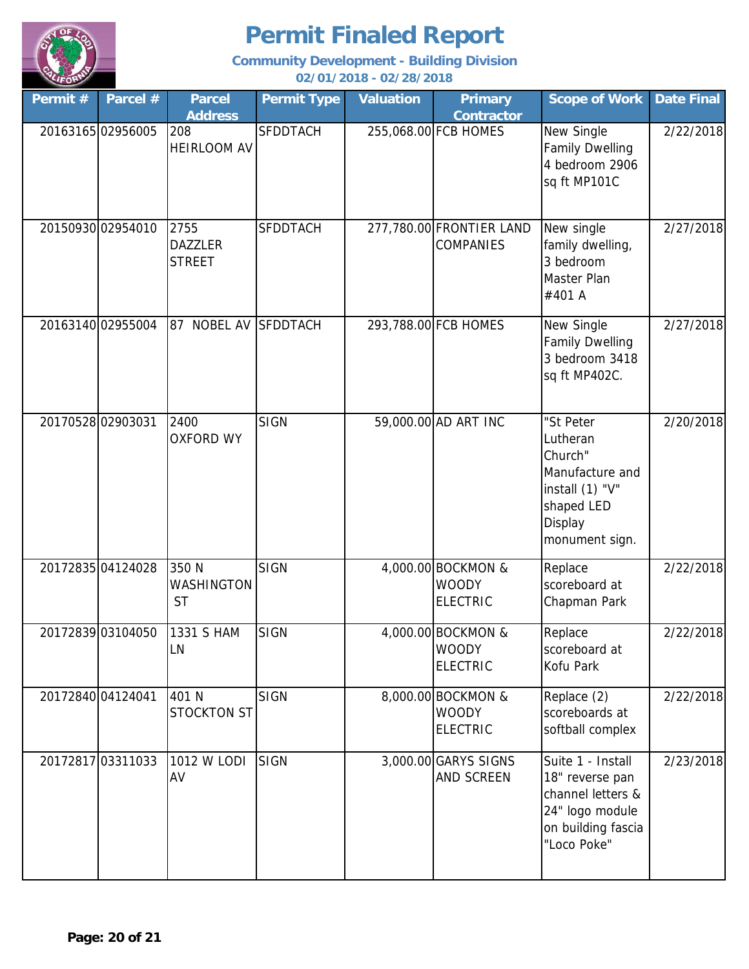

| Permit # | Parcel #          | <b>Parcel</b><br><b>Address</b>         | <b>Permit Type</b> | <b>Valuation</b> | <b>Primary</b><br><b>Contractor</b>                   | <b>Scope of Work</b>                                                                                              | <b>Date Final</b> |
|----------|-------------------|-----------------------------------------|--------------------|------------------|-------------------------------------------------------|-------------------------------------------------------------------------------------------------------------------|-------------------|
|          | 2016316502956005  | 208<br><b>HEIRLOOM AV</b>               | <b>SFDDTACH</b>    |                  | 255,068.00 FCB HOMES                                  | New Single<br><b>Family Dwelling</b><br>4 bedroom 2906<br>sq ft MP101C                                            | 2/22/2018         |
|          | 20150930 02954010 | 2755<br><b>DAZZLER</b><br><b>STREET</b> | <b>SFDDTACH</b>    |                  | 277,780.00 FRONTIER LAND<br><b>COMPANIES</b>          | New single<br>family dwelling,<br>3 bedroom<br>Master Plan<br>#401 A                                              | 2/27/2018         |
|          | 20163140 02955004 | <b>NOBEL AV</b><br>87                   | <b>SFDDTACH</b>    |                  | 293,788.00 FCB HOMES                                  | New Single<br><b>Family Dwelling</b><br>3 bedroom 3418<br>sq ft MP402C.                                           | 2/27/2018         |
|          | 20170528 02903031 | 2400<br><b>OXFORD WY</b>                | <b>SIGN</b>        |                  | 59,000.00 AD ART INC                                  | "St Peter<br>Lutheran<br>Church"<br>Manufacture and<br>install (1) "V"<br>shaped LED<br>Display<br>monument sign. | 2/20/2018         |
|          | 20172835 04124028 | 350 N<br><b>WASHINGTON</b><br><b>ST</b> | <b>SIGN</b>        |                  | 4,000.00 BOCKMON &<br><b>WOODY</b><br><b>ELECTRIC</b> | Replace<br>scoreboard at<br>Chapman Park                                                                          | 2/22/2018         |
|          | 20172839 03104050 | 1331 S HAM<br>LN                        | <b>SIGN</b>        |                  | 4,000.00 BOCKMON &<br><b>WOODY</b><br><b>ELECTRIC</b> | Replace<br>scoreboard at<br><b>Kofu Park</b>                                                                      | 2/22/2018         |
|          | 20172840 04124041 | 401 N<br><b>STOCKTON ST</b>             | <b>SIGN</b>        |                  | 8,000.00 BOCKMON &<br><b>WOODY</b><br><b>ELECTRIC</b> | Replace (2)<br>scoreboards at<br>softball complex                                                                 | 2/22/2018         |
|          | 20172817 03311033 | 1012 W LODI<br>AV                       | SIGN               |                  | 3,000.00 GARYS SIGNS<br><b>AND SCREEN</b>             | Suite 1 - Install<br>18" reverse pan<br>channel letters &<br>24" logo module<br>on building fascia<br>"Loco Poke" | 2/23/2018         |